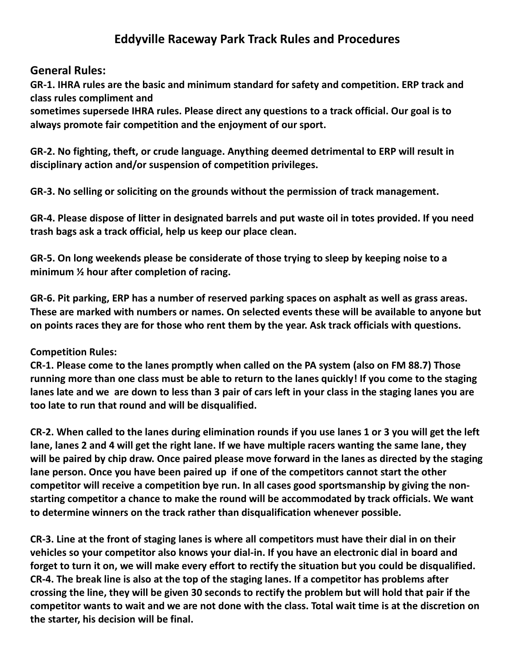# **Eddyville Raceway Park Track Rules and Procedures**

#### **General Rules:**

**GR-1. IHRA rules are the basic and minimum standard for safety and competition. ERP track and class rules compliment and**

**sometimes supersede IHRA rules. Please direct any questions to a track official. Our goal is to always promote fair competition and the enjoyment of our sport.**

**GR-2. No fighting, theft, or crude language. Anything deemed detrimental to ERP will result in disciplinary action and/or suspension of competition privileges.**

**GR-3. No selling or soliciting on the grounds without the permission of track management.**

**GR-4. Please dispose of litter in designated barrels and put waste oil in totes provided. If you need trash bags ask a track official, help us keep our place clean.**

**GR-5. On long weekends please be considerate of those trying to sleep by keeping noise to a minimum ½ hour after completion of racing.**

**GR-6. Pit parking, ERP has a number of reserved parking spaces on asphalt as well as grass areas. These are marked with numbers or names. On selected events these will be available to anyone but on points races they are for those who rent them by the year. Ask track officials with questions.**

#### **Competition Rules:**

**CR-1. Please come to the lanes promptly when called on the PA system (also on FM 88.7) Those running more than one class must be able to return to the lanes quickly! If you come to the staging lanes late and we are down to less than 3 pair of cars left in your class in the staging lanes you are too late to run that round and will be disqualified.**

**CR-2. When called to the lanes during elimination rounds if you use lanes 1 or 3 you will get the left lane, lanes 2 and 4 will get the right lane. If we have multiple racers wanting the same lane, they will be paired by chip draw. Once paired please move forward in the lanes as directed by the staging lane person. Once you have been paired up if one of the competitors cannot start the other competitor will receive a competition bye run. In all cases good sportsmanship by giving the nonstarting competitor a chance to make the round will be accommodated by track officials. We want to determine winners on the track rather than disqualification whenever possible.**

**CR-3. Line at the front of staging lanes is where all competitors must have their dial in on their vehicles so your competitor also knows your dial-in. If you have an electronic dial in board and forget to turn it on, we will make every effort to rectify the situation but you could be disqualified. CR-4. The break line is also at the top of the staging lanes. If a competitor has problems after crossing the line, they will be given 30 seconds to rectify the problem but will hold that pair if the competitor wants to wait and we are not done with the class. Total wait time is at the discretion on the starter, his decision will be final.**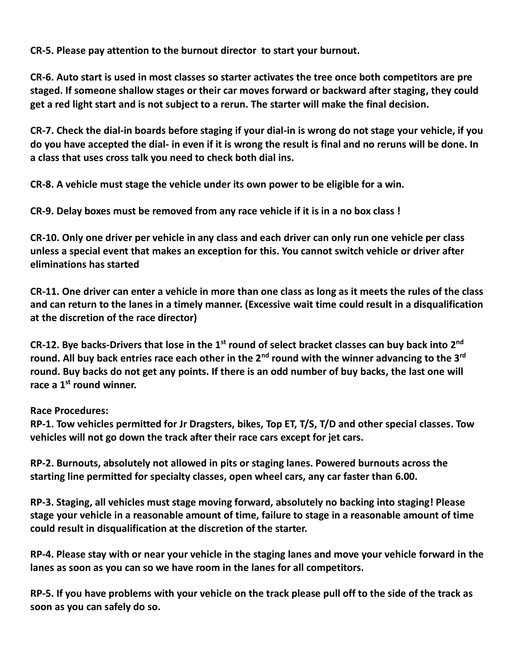**CR-5. Please pay attention to the burnout director to start your burnout.** 

**CR-6. Auto start is used in most classes so starter activates the tree once both competitors are pre staged. If someone shallow stages or their car moves forward or backward after staging, they could get a red light start and is not subject to a rerun. The starter will make the final decision.**

**CR-7. Check the dial-in boards before staging if your dial-in is wrong do not stage your vehicle, if you do you have accepted the dial- in even if it is wrong the result is final and no reruns will be done. In a class that uses cross talk you need to check both dial ins.**

**CR-8. A vehicle must stage the vehicle under its own power to be eligible for a win.** 

**CR-9. Delay boxes must be removed from any race vehicle if it is in a no box class !**

**CR-10. Only one driver per vehicle in any class and each driver can only run one vehicle per class unless a special event that makes an exception for this. You cannot switch vehicle or driver after eliminations has started**

**CR-11. One driver can enter a vehicle in more than one class as long as it meets the rules of the class and can return to the lanes in a timely manner. (Excessive wait time could result in a disqualification at the discretion of the race director)**

**CR-12. Bye backs-Drivers that lose in the 1st round of select bracket classes can buy back into 2nd round. All buy back entries race each other in the 2nd round with the winner advancing to the 3rd round. Buy backs do not get any points. If there is an odd number of buy backs, the last one will race a 1st round winner.**

**Race Procedures:**

**RP-1. Tow vehicles permitted for Jr Dragsters, bikes, Top ET, T/S, T/D and other special classes. Tow vehicles will not go down the track after their race cars except for jet cars.**

**RP-2. Burnouts, absolutely not allowed in pits or staging lanes. Powered burnouts across the starting line permitted for specialty classes, open wheel cars, any car faster than 6.00.**

**RP-3. Staging, all vehicles must stage moving forward, absolutely no backing into staging! Please stage your vehicle in a reasonable amount of time, failure to stage in a reasonable amount of time could result in disqualification at the discretion of the starter.**

**RP-4. Please stay with or near your vehicle in the staging lanes and move your vehicle forward in the lanes as soon as you can so we have room in the lanes for all competitors.**

**RP-5. If you have problems with your vehicle on the track please pull off to the side of the track as soon as you can safely do so.**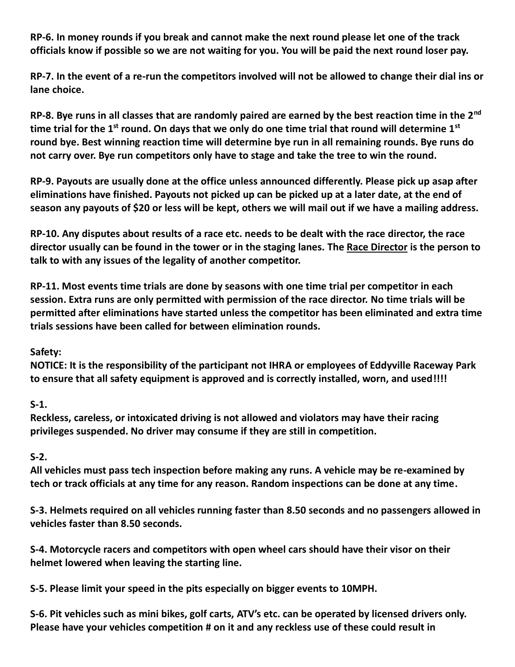**RP-6. In money rounds if you break and cannot make the next round please let one of the track officials know if possible so we are not waiting for you. You will be paid the next round loser pay.**

**RP-7. In the event of a re-run the competitors involved will not be allowed to change their dial ins or lane choice.**

**RP-8. Bye runs in all classes that are randomly paired are earned by the best reaction time in the 2nd time trial for the 1st round. On days that we only do one time trial that round will determine 1st round bye. Best winning reaction time will determine bye run in all remaining rounds. Bye runs do not carry over. Bye run competitors only have to stage and take the tree to win the round.**

**RP-9. Payouts are usually done at the office unless announced differently. Please pick up asap after eliminations have finished. Payouts not picked up can be picked up at a later date, at the end of season any payouts of \$20 or less will be kept, others we will mail out if we have a mailing address.**

**RP-10. Any disputes about results of a race etc. needs to be dealt with the race director, the race director usually can be found in the tower or in the staging lanes. The Race Director is the person to talk to with any issues of the legality of another competitor.** 

**RP-11. Most events time trials are done by seasons with one time trial per competitor in each session. Extra runs are only permitted with permission of the race director. No time trials will be permitted after eliminations have started unless the competitor has been eliminated and extra time trials sessions have been called for between elimination rounds.**

## **Safety:**

**NOTICE: It is the responsibility of the participant not IHRA or employees of Eddyville Raceway Park to ensure that all safety equipment is approved and is correctly installed, worn, and used!!!!**

**S-1.** 

**Reckless, careless, or intoxicated driving is not allowed and violators may have their racing privileges suspended. No driver may consume if they are still in competition.**

## **S-2.**

**All vehicles must pass tech inspection before making any runs. A vehicle may be re-examined by tech or track officials at any time for any reason. Random inspections can be done at any time.**

**S-3. Helmets required on all vehicles running faster than 8.50 seconds and no passengers allowed in vehicles faster than 8.50 seconds.**

**S-4. Motorcycle racers and competitors with open wheel cars should have their visor on their helmet lowered when leaving the starting line.**

**S-5. Please limit your speed in the pits especially on bigger events to 10MPH.**

**S-6. Pit vehicles such as mini bikes, golf carts, ATV's etc. can be operated by licensed drivers only. Please have your vehicles competition # on it and any reckless use of these could result in**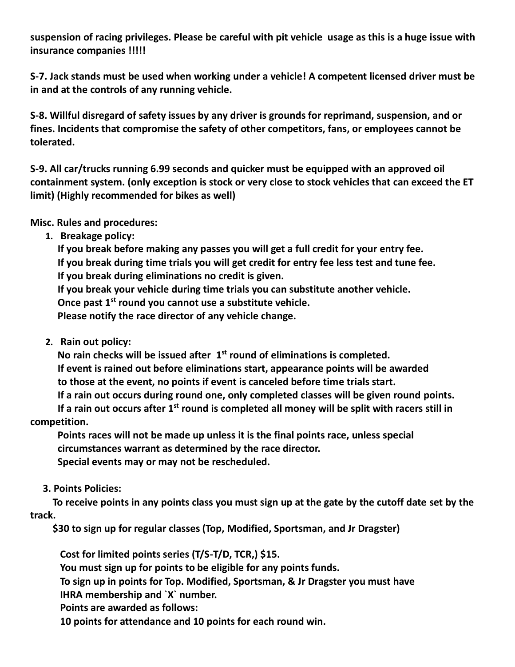**suspension of racing privileges. Please be careful with pit vehicle usage as this is a huge issue with insurance companies !!!!!**

**S-7. Jack stands must be used when working under a vehicle! A competent licensed driver must be in and at the controls of any running vehicle.**

**S-8. Willful disregard of safety issues by any driver is grounds for reprimand, suspension, and or fines. Incidents that compromise the safety of other competitors, fans, or employees cannot be tolerated.**

**S-9. All car/trucks running 6.99 seconds and quicker must be equipped with an approved oil containment system. (only exception is stock or very close to stock vehicles that can exceed the ET limit) (Highly recommended for bikes as well)**

**Misc. Rules and procedures:**

**1. Breakage policy:** 

 **If you break before making any passes you will get a full credit for your entry fee. If you break during time trials you will get credit for entry fee less test and tune fee. If you break during eliminations no credit is given. If you break your vehicle during time trials you can substitute another vehicle. Once past 1st round you cannot use a substitute vehicle. Please notify the race director of any vehicle change.**

**2. Rain out policy:**

 **No rain checks will be issued after 1 st round of eliminations is completed. If event is rained out before eliminations start, appearance points will be awarded to those at the event, no points if event is canceled before time trials start. If a rain out occurs during round one, only completed classes will be given round points.**

 **If a rain out occurs after 1st round is completed all money will be split with racers still in competition.** 

 **Points races will not be made up unless it is the final points race, unless special circumstances warrant as determined by the race director. Special events may or may not be rescheduled.** 

 **3. Points Policies:**

 **To receive points in any points class you must sign up at the gate by the cutoff date set by the track.**

 **\$30 to sign up for regular classes (Top, Modified, Sportsman, and Jr Dragster)** 

 **Cost for limited points series (T/S-T/D, TCR,) \$15. You must sign up for points to be eligible for any points funds. To sign up in points for Top. Modified, Sportsman, & Jr Dragster you must have IHRA membership and `X` number. Points are awarded as follows: 10 points for attendance and 10 points for each round win.**